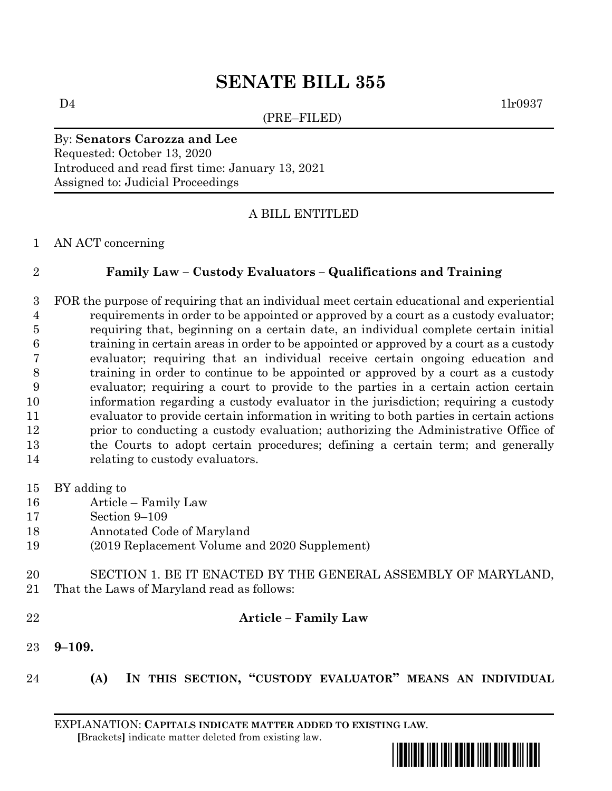## **SENATE BILL 355**

(PRE–FILED)

 $D4$  1lr0937

## By: **Senators Carozza and Lee** Requested: October 13, 2020 Introduced and read first time: January 13, 2021 Assigned to: Judicial Proceedings

A BILL ENTITLED

## AN ACT concerning

## **Family Law – Custody Evaluators – Qualifications and Training**

- FOR the purpose of requiring that an individual meet certain educational and experiential requirements in order to be appointed or approved by a court as a custody evaluator; requiring that, beginning on a certain date, an individual complete certain initial training in certain areas in order to be appointed or approved by a court as a custody evaluator; requiring that an individual receive certain ongoing education and training in order to continue to be appointed or approved by a court as a custody evaluator; requiring a court to provide to the parties in a certain action certain information regarding a custody evaluator in the jurisdiction; requiring a custody evaluator to provide certain information in writing to both parties in certain actions prior to conducting a custody evaluation; authorizing the Administrative Office of the Courts to adopt certain procedures; defining a certain term; and generally relating to custody evaluators.
- BY adding to
- Article Family Law
- Section 9–109
- Annotated Code of Maryland
- (2019 Replacement Volume and 2020 Supplement)
- SECTION 1. BE IT ENACTED BY THE GENERAL ASSEMBLY OF MARYLAND, That the Laws of Maryland read as follows:
- 

**Article – Family Law**

- **9–109.**
- 
- **(A) IN THIS SECTION, "CUSTODY EVALUATOR" MEANS AN INDIVIDUAL**

EXPLANATION: **CAPITALS INDICATE MATTER ADDED TO EXISTING LAW**.  **[**Brackets**]** indicate matter deleted from existing law.

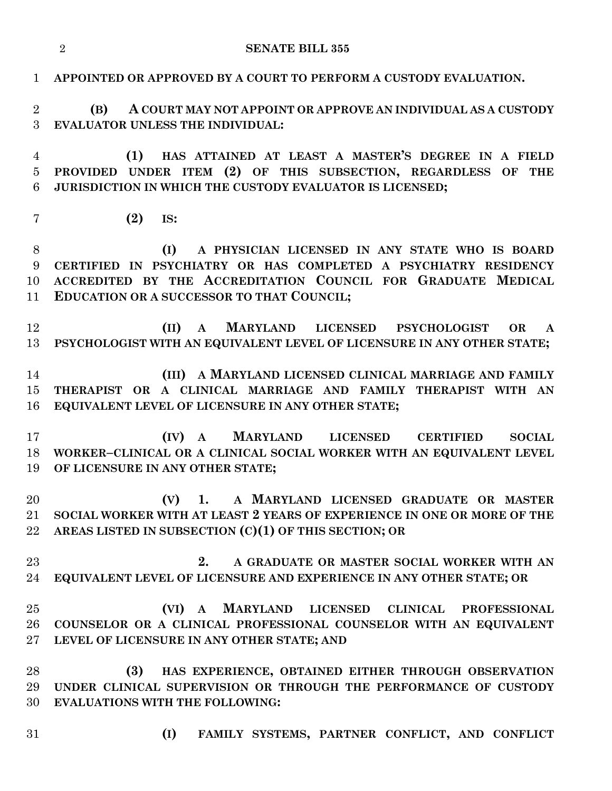**APPOINTED OR APPROVED BY A COURT TO PERFORM A CUSTODY EVALUATION. (B) A COURT MAY NOT APPOINT OR APPROVE AN INDIVIDUAL AS A CUSTODY EVALUATOR UNLESS THE INDIVIDUAL: (1) HAS ATTAINED AT LEAST A MASTER'S DEGREE IN A FIELD PROVIDED UNDER ITEM (2) OF THIS SUBSECTION, REGARDLESS OF THE JURISDICTION IN WHICH THE CUSTODY EVALUATOR IS LICENSED; (2) IS: (I) A PHYSICIAN LICENSED IN ANY STATE WHO IS BOARD CERTIFIED IN PSYCHIATRY OR HAS COMPLETED A PSYCHIATRY RESIDENCY ACCREDITED BY THE ACCREDITATION COUNCIL FOR GRADUATE MEDICAL EDUCATION OR A SUCCESSOR TO THAT COUNCIL; (II) A MARYLAND LICENSED PSYCHOLOGIST OR A PSYCHOLOGIST WITH AN EQUIVALENT LEVEL OF LICENSURE IN ANY OTHER STATE; (III) A MARYLAND LICENSED CLINICAL MARRIAGE AND FAMILY THERAPIST OR A CLINICAL MARRIAGE AND FAMILY THERAPIST WITH AN EQUIVALENT LEVEL OF LICENSURE IN ANY OTHER STATE; (IV) A MARYLAND LICENSED CERTIFIED SOCIAL WORKER–CLINICAL OR A CLINICAL SOCIAL WORKER WITH AN EQUIVALENT LEVEL OF LICENSURE IN ANY OTHER STATE; (V) 1. A MARYLAND LICENSED GRADUATE OR MASTER SOCIAL WORKER WITH AT LEAST 2 YEARS OF EXPERIENCE IN ONE OR MORE OF THE AREAS LISTED IN SUBSECTION (C)(1) OF THIS SECTION; OR 2. A GRADUATE OR MASTER SOCIAL WORKER WITH AN EQUIVALENT LEVEL OF LICENSURE AND EXPERIENCE IN ANY OTHER STATE; OR (VI) A MARYLAND LICENSED CLINICAL PROFESSIONAL COUNSELOR OR A CLINICAL PROFESSIONAL COUNSELOR WITH AN EQUIVALENT LEVEL OF LICENSURE IN ANY OTHER STATE; AND (3) HAS EXPERIENCE, OBTAINED EITHER THROUGH OBSERVATION UNDER CLINICAL SUPERVISION OR THROUGH THE PERFORMANCE OF CUSTODY EVALUATIONS WITH THE FOLLOWING:**

**SENATE BILL 355**

**(I) FAMILY SYSTEMS, PARTNER CONFLICT, AND CONFLICT**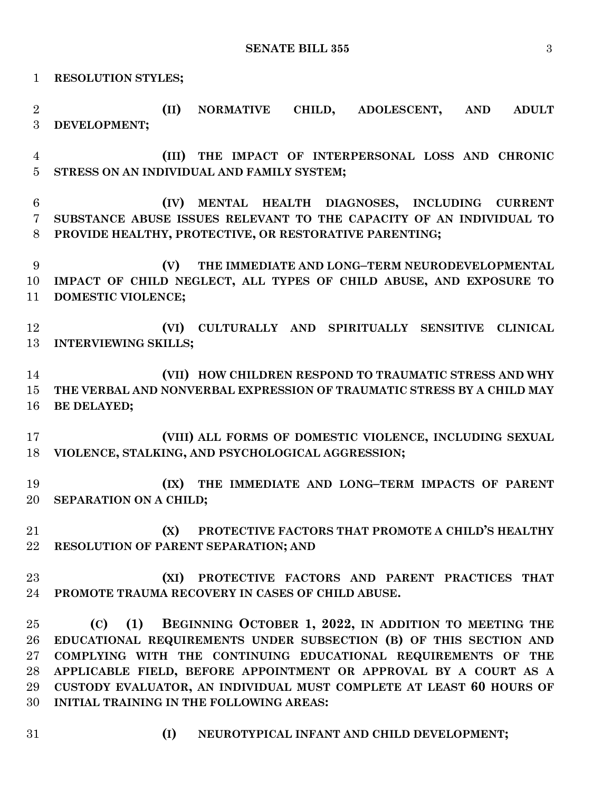| $\mathbf 1$                      | <b>RESOLUTION STYLES;</b>                                                                                                                                                                                                                                                                                                                                                                     |
|----------------------------------|-----------------------------------------------------------------------------------------------------------------------------------------------------------------------------------------------------------------------------------------------------------------------------------------------------------------------------------------------------------------------------------------------|
| $\overline{2}$<br>3              | (II)<br>NORMATIVE CHILD, ADOLESCENT, AND<br><b>ADULT</b><br>DEVELOPMENT;                                                                                                                                                                                                                                                                                                                      |
| $\overline{4}$<br>$\overline{5}$ | THE IMPACT OF INTERPERSONAL LOSS AND CHRONIC<br>(III)<br>STRESS ON AN INDIVIDUAL AND FAMILY SYSTEM;                                                                                                                                                                                                                                                                                           |
| 6<br>7<br>8                      | MENTAL HEALTH DIAGNOSES, INCLUDING<br>(IV)<br><b>CURRENT</b><br>SUBSTANCE ABUSE ISSUES RELEVANT TO THE CAPACITY OF AN INDIVIDUAL TO<br>PROVIDE HEALTHY, PROTECTIVE, OR RESTORATIVE PARENTING;                                                                                                                                                                                                 |
| 9<br>10<br>11                    | (V)<br>THE IMMEDIATE AND LONG-TERM NEURODEVELOPMENTAL<br>IMPACT OF CHILD NEGLECT, ALL TYPES OF CHILD ABUSE, AND EXPOSURE TO<br>DOMESTIC VIOLENCE;                                                                                                                                                                                                                                             |
| 12<br>13                         | CULTURALLY AND SPIRITUALLY SENSITIVE<br>(VI)<br><b>CLINICAL</b><br><b>INTERVIEWING SKILLS;</b>                                                                                                                                                                                                                                                                                                |
| 14<br>15<br>16                   | (VII) HOW CHILDREN RESPOND TO TRAUMATIC STRESS AND WHY<br>THE VERBAL AND NONVERBAL EXPRESSION OF TRAUMATIC STRESS BY A CHILD MAY<br><b>BE DELAYED;</b>                                                                                                                                                                                                                                        |
| 17<br>18                         | (VIII) ALL FORMS OF DOMESTIC VIOLENCE, INCLUDING SEXUAL<br>VIOLENCE, STALKING, AND PSYCHOLOGICAL AGGRESSION;                                                                                                                                                                                                                                                                                  |
| 19<br>20                         | THE IMMEDIATE AND LONG-TERM IMPACTS OF PARENT<br>(IX)<br>SEPARATION ON A CHILD;                                                                                                                                                                                                                                                                                                               |
| 21<br>22                         | PROTECTIVE FACTORS THAT PROMOTE A CHILD'S HEALTHY<br>(X)<br>RESOLUTION OF PARENT SEPARATION; AND                                                                                                                                                                                                                                                                                              |
| 23<br>24                         | (XI)<br>PROTECTIVE FACTORS AND PARENT PRACTICES THAT<br>PROMOTE TRAUMA RECOVERY IN CASES OF CHILD ABUSE.                                                                                                                                                                                                                                                                                      |
| 25<br>26<br>27<br>28<br>29<br>30 | (1) BEGINNING OCTOBER 1, 2022, IN ADDITION TO MEETING THE<br>(C)<br>EDUCATIONAL REQUIREMENTS UNDER SUBSECTION (B) OF THIS SECTION AND<br>COMPLYING WITH THE CONTINUING EDUCATIONAL REQUIREMENTS OF THE<br>APPLICABLE FIELD, BEFORE APPOINTMENT OR APPROVAL BY A COURT AS A<br>CUSTODY EVALUATOR, AN INDIVIDUAL MUST COMPLETE AT LEAST 60 HOURS OF<br>INITIAL TRAINING IN THE FOLLOWING AREAS: |

- 
- **(I) NEUROTYPICAL INFANT AND CHILD DEVELOPMENT;**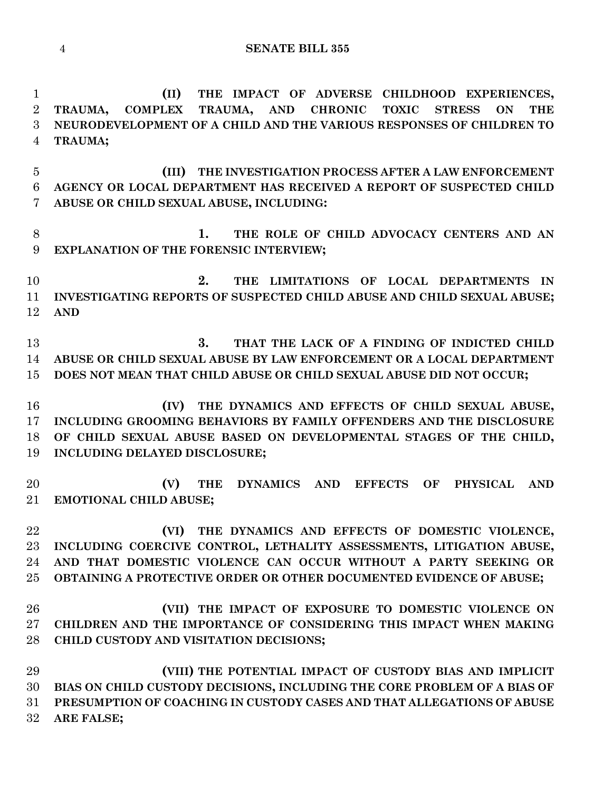**(II) THE IMPACT OF ADVERSE CHILDHOOD EXPERIENCES, TRAUMA, COMPLEX TRAUMA, AND CHRONIC TOXIC STRESS ON THE NEURODEVELOPMENT OF A CHILD AND THE VARIOUS RESPONSES OF CHILDREN TO TRAUMA; (III) THE INVESTIGATION PROCESS AFTER A LAW ENFORCEMENT AGENCY OR LOCAL DEPARTMENT HAS RECEIVED A REPORT OF SUSPECTED CHILD ABUSE OR CHILD SEXUAL ABUSE, INCLUDING: 1. THE ROLE OF CHILD ADVOCACY CENTERS AND AN EXPLANATION OF THE FORENSIC INTERVIEW; 2. THE LIMITATIONS OF LOCAL DEPARTMENTS IN INVESTIGATING REPORTS OF SUSPECTED CHILD ABUSE AND CHILD SEXUAL ABUSE; AND 3. THAT THE LACK OF A FINDING OF INDICTED CHILD ABUSE OR CHILD SEXUAL ABUSE BY LAW ENFORCEMENT OR A LOCAL DEPARTMENT DOES NOT MEAN THAT CHILD ABUSE OR CHILD SEXUAL ABUSE DID NOT OCCUR; (IV) THE DYNAMICS AND EFFECTS OF CHILD SEXUAL ABUSE, INCLUDING GROOMING BEHAVIORS BY FAMILY OFFENDERS AND THE DISCLOSURE OF CHILD SEXUAL ABUSE BASED ON DEVELOPMENTAL STAGES OF THE CHILD, INCLUDING DELAYED DISCLOSURE; (V) THE DYNAMICS AND EFFECTS OF PHYSICAL AND EMOTIONAL CHILD ABUSE; (VI) THE DYNAMICS AND EFFECTS OF DOMESTIC VIOLENCE, INCLUDING COERCIVE CONTROL, LETHALITY ASSESSMENTS, LITIGATION ABUSE, AND THAT DOMESTIC VIOLENCE CAN OCCUR WITHOUT A PARTY SEEKING OR OBTAINING A PROTECTIVE ORDER OR OTHER DOCUMENTED EVIDENCE OF ABUSE; (VII) THE IMPACT OF EXPOSURE TO DOMESTIC VIOLENCE ON CHILDREN AND THE IMPORTANCE OF CONSIDERING THIS IMPACT WHEN MAKING CHILD CUSTODY AND VISITATION DECISIONS; (VIII) THE POTENTIAL IMPACT OF CUSTODY BIAS AND IMPLICIT BIAS ON CHILD CUSTODY DECISIONS, INCLUDING THE CORE PROBLEM OF A BIAS OF PRESUMPTION OF COACHING IN CUSTODY CASES AND THAT ALLEGATIONS OF ABUSE ARE FALSE;**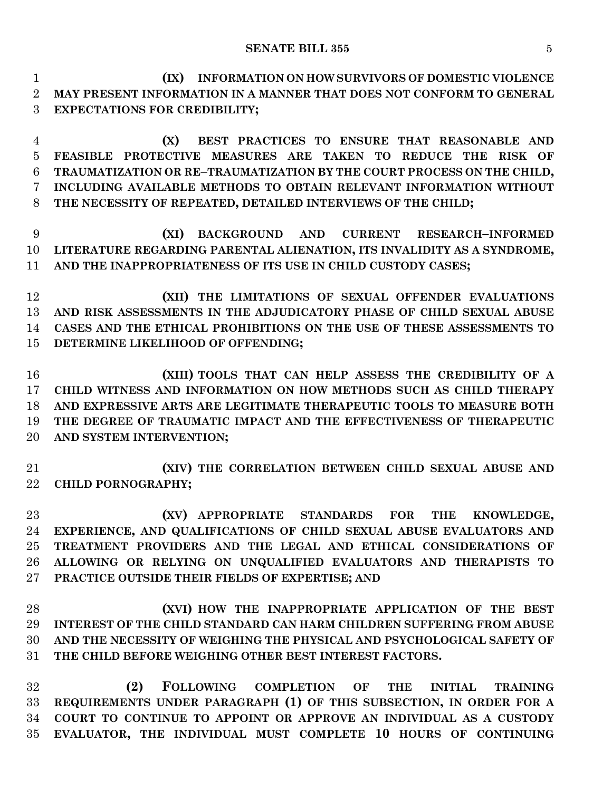**(IX) INFORMATION ON HOW SURVIVORS OF DOMESTIC VIOLENCE MAY PRESENT INFORMATION IN A MANNER THAT DOES NOT CONFORM TO GENERAL EXPECTATIONS FOR CREDIBILITY;**

 **(X) BEST PRACTICES TO ENSURE THAT REASONABLE AND FEASIBLE PROTECTIVE MEASURES ARE TAKEN TO REDUCE THE RISK OF TRAUMATIZATION OR RE–TRAUMATIZATION BY THE COURT PROCESS ON THE CHILD, INCLUDING AVAILABLE METHODS TO OBTAIN RELEVANT INFORMATION WITHOUT THE NECESSITY OF REPEATED, DETAILED INTERVIEWS OF THE CHILD;**

 **(XI) BACKGROUND AND CURRENT RESEARCH–INFORMED LITERATURE REGARDING PARENTAL ALIENATION, ITS INVALIDITY AS A SYNDROME, AND THE INAPPROPRIATENESS OF ITS USE IN CHILD CUSTODY CASES;**

 **(XII) THE LIMITATIONS OF SEXUAL OFFENDER EVALUATIONS AND RISK ASSESSMENTS IN THE ADJUDICATORY PHASE OF CHILD SEXUAL ABUSE CASES AND THE ETHICAL PROHIBITIONS ON THE USE OF THESE ASSESSMENTS TO DETERMINE LIKELIHOOD OF OFFENDING;**

 **(XIII) TOOLS THAT CAN HELP ASSESS THE CREDIBILITY OF A CHILD WITNESS AND INFORMATION ON HOW METHODS SUCH AS CHILD THERAPY AND EXPRESSIVE ARTS ARE LEGITIMATE THERAPEUTIC TOOLS TO MEASURE BOTH THE DEGREE OF TRAUMATIC IMPACT AND THE EFFECTIVENESS OF THERAPEUTIC AND SYSTEM INTERVENTION;**

 **(XIV) THE CORRELATION BETWEEN CHILD SEXUAL ABUSE AND CHILD PORNOGRAPHY;**

 **(XV) APPROPRIATE STANDARDS FOR THE KNOWLEDGE, EXPERIENCE, AND QUALIFICATIONS OF CHILD SEXUAL ABUSE EVALUATORS AND TREATMENT PROVIDERS AND THE LEGAL AND ETHICAL CONSIDERATIONS OF ALLOWING OR RELYING ON UNQUALIFIED EVALUATORS AND THERAPISTS TO PRACTICE OUTSIDE THEIR FIELDS OF EXPERTISE; AND**

 **(XVI) HOW THE INAPPROPRIATE APPLICATION OF THE BEST INTEREST OF THE CHILD STANDARD CAN HARM CHILDREN SUFFERING FROM ABUSE AND THE NECESSITY OF WEIGHING THE PHYSICAL AND PSYCHOLOGICAL SAFETY OF THE CHILD BEFORE WEIGHING OTHER BEST INTEREST FACTORS.**

 **(2) FOLLOWING COMPLETION OF THE INITIAL TRAINING REQUIREMENTS UNDER PARAGRAPH (1) OF THIS SUBSECTION, IN ORDER FOR A COURT TO CONTINUE TO APPOINT OR APPROVE AN INDIVIDUAL AS A CUSTODY EVALUATOR, THE INDIVIDUAL MUST COMPLETE 10 HOURS OF CONTINUING**